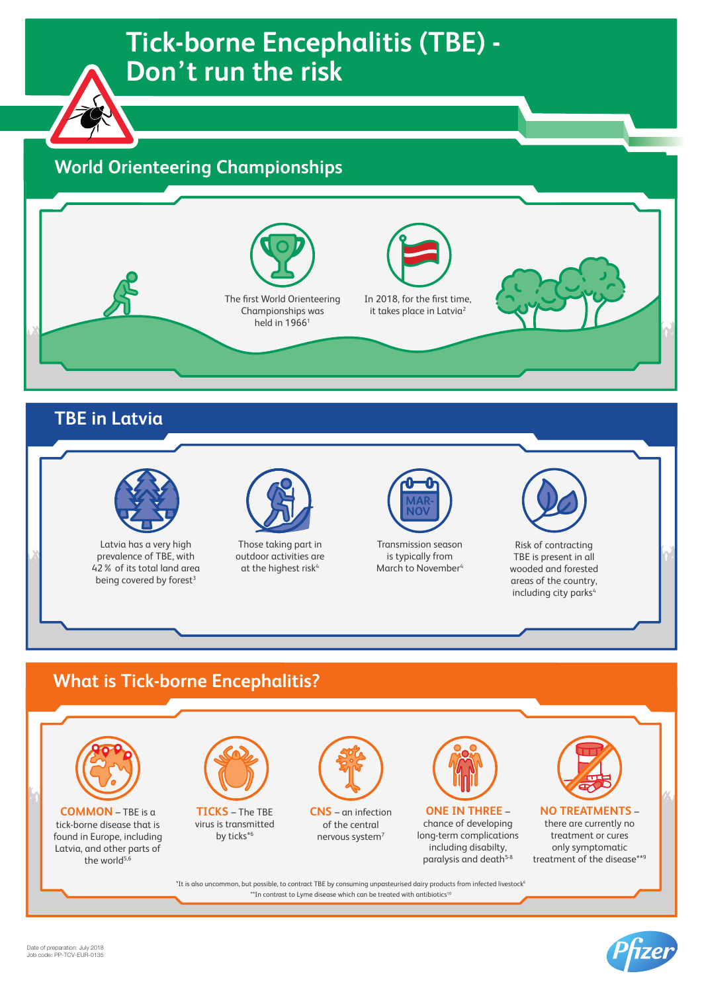# **Tick-borne Encephalitis (TBE) - Tick-borne Encephalitis (TBE) - Don't run the risk Don't run the risk**

## **World Orienteering Championships**